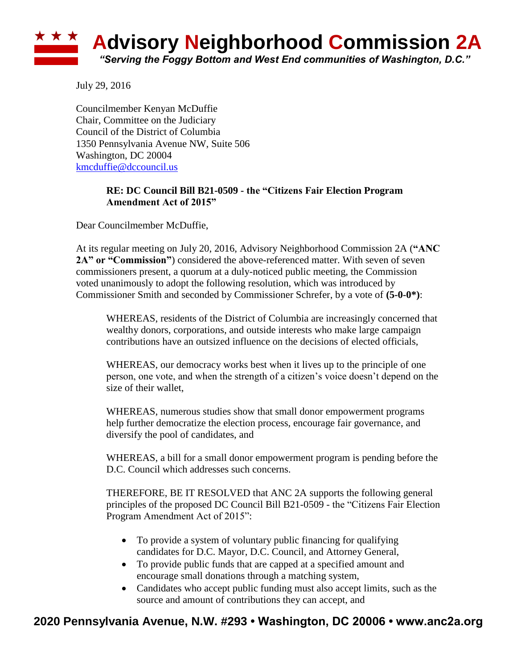

July 29, 2016

Councilmember Kenyan McDuffie Chair, Committee on the Judiciary Council of the District of Columbia 1350 Pennsylvania Avenue NW, Suite 506 Washington, DC 20004 [kmcduffie@dccouncil.us](mailto:kmcduffie@dccouncil.us)

## **RE: DC Council Bill B21-0509 - the "Citizens Fair Election Program Amendment Act of 2015"**

Dear Councilmember McDuffie,

At its regular meeting on July 20, 2016, Advisory Neighborhood Commission 2A (**"ANC 2A" or "Commission"**) considered the above-referenced matter. With seven of seven commissioners present, a quorum at a duly-noticed public meeting, the Commission voted unanimously to adopt the following resolution, which was introduced by Commissioner Smith and seconded by Commissioner Schrefer, by a vote of **(5-0-0\*)**:

WHEREAS, residents of the District of Columbia are increasingly concerned that wealthy donors, corporations, and outside interests who make large campaign contributions have an outsized influence on the decisions of elected officials,

WHEREAS, our democracy works best when it lives up to the principle of one person, one vote, and when the strength of a citizen's voice doesn't depend on the size of their wallet,

WHEREAS, numerous studies show that small donor empowerment programs help further democratize the election process, encourage fair governance, and diversify the pool of candidates, and

WHEREAS, a bill for a small donor empowerment program is pending before the D.C. Council which addresses such concerns.

THEREFORE, BE IT RESOLVED that ANC 2A supports the following general principles of the proposed DC Council Bill B21-0509 - the "Citizens Fair Election Program Amendment Act of 2015":

- To provide a system of voluntary public financing for qualifying candidates for D.C. Mayor, D.C. Council, and Attorney General,
- To provide public funds that are capped at a specified amount and encourage small donations through a matching system,
- Candidates who accept public funding must also accept limits, such as the source and amount of contributions they can accept, and

## **2020 Pennsylvania Avenue, N.W. #293 • Washington, DC 20006 • www.anc2a.org**